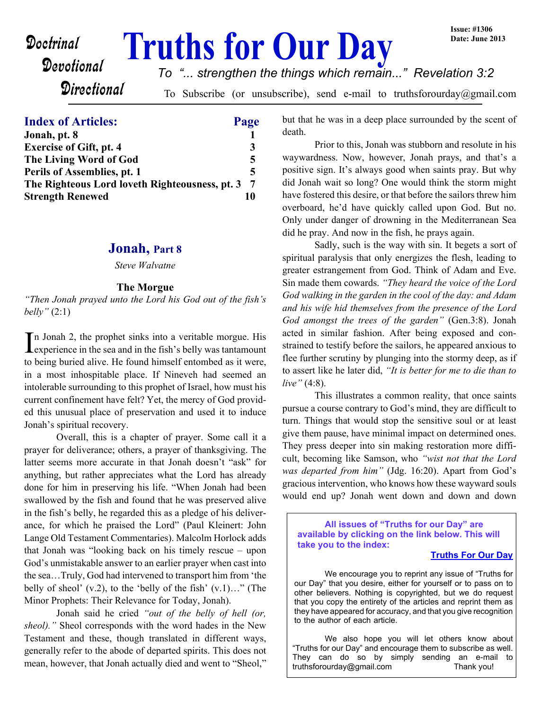# **Doctrinal Truths for Our Day**

# Devotional **Directional**

*To "... strengthen the things which remain..." Revelation 3:2*

To Subscribe (or unsubscribe), send e-mail to truthsforourday@gmail.com

### **Index of Articles: Page**

| Jonah, pt. 8                                   |   |
|------------------------------------------------|---|
| <b>Exercise of Gift, pt. 4</b>                 |   |
| The Living Word of God                         | 5 |
| Perils of Assemblies, pt. 1                    | 5 |
| The Righteous Lord loveth Righteousness, pt. 3 |   |
| <b>Strength Renewed</b>                        |   |

#### **Jonah, Part 8**

*Steve Walvatne*

#### **The Morgue**

*"Then Jonah prayed unto the Lord his God out of the fish's belly"* (2:1)

In Jonah 2, the prophet sinks into a veritable morgue. His experience in the sea and in the fish's belly was tantamount **L** experience in the sea and in the fish's belly was tantamount to being buried alive. He found himself entombed as it were, in a most inhospitable place. If Nineveh had seemed an intolerable surrounding to this prophet of Israel, how must his current confinement have felt? Yet, the mercy of God provided this unusual place of preservation and used it to induce Jonah's spiritual recovery.

 Overall, this is a chapter of prayer. Some call it a prayer for deliverance; others, a prayer of thanksgiving. The latter seems more accurate in that Jonah doesn't "ask" for anything, but rather appreciates what the Lord has already done for him in preserving his life. "When Jonah had been swallowed by the fish and found that he was preserved alive in the fish's belly, he regarded this as a pledge of his deliverance, for which he praised the Lord" (Paul Kleinert: John Lange Old Testament Commentaries). Malcolm Horlock adds that Jonah was "looking back on his timely rescue – upon God's unmistakable answer to an earlier prayer when cast into the sea…Truly, God had intervened to transport him from 'the belly of sheol'  $(v.2)$ , to the 'belly of the fish'  $(v.1)$ ..." (The Minor Prophets: Their Relevance for Today, Jonah).

Jonah said he cried *"out of the belly of hell (or, sheol)."* Sheol corresponds with the word hades in the New Testament and these, though translated in different ways, generally refer to the abode of departed spirits. This does not mean, however, that Jonah actually died and went to "Sheol,"

but that he was in a deep place surrounded by the scent of death.

Prior to this, Jonah was stubborn and resolute in his waywardness. Now, however, Jonah prays, and that's a positive sign. It's always good when saints pray. But why did Jonah wait so long? One would think the storm might have fostered this desire, or that before the sailors threw him overboard, he'd have quickly called upon God. But no. Only under danger of drowning in the Mediterranean Sea did he pray. And now in the fish, he prays again.

Sadly, such is the way with sin. It begets a sort of spiritual paralysis that only energizes the flesh, leading to greater estrangement from God. Think of Adam and Eve. Sin made them cowards. *"They heard the voice of the Lord God walking in the garden in the cool of the day: and Adam and his wife hid themselves from the presence of the Lord God amongst the trees of the garden"* (Gen.3:8). Jonah acted in similar fashion. After being exposed and constrained to testify before the sailors, he appeared anxious to flee further scrutiny by plunging into the stormy deep, as if to assert like he later did, *"It is better for me to die than to live"* (4:8).

 This illustrates a common reality, that once saints pursue a course contrary to God's mind, they are difficult to turn. Things that would stop the sensitive soul or at least give them pause, have minimal impact on determined ones. They press deeper into sin making restoration more difficult, becoming like Samson, who *"wist not that the Lord was departed from him"* (Jdg. 16:20). Apart from God's gracious intervention, who knows how these wayward souls would end up? Jonah went down and down and down

**All issues of "Truths for our Day" are available by clicking on the link below. This will take you to the index:**

#### **[Truths For Our Day](http://truthsforourday.com)**

 We encourage you to reprint any issue of "Truths for our Day" that you desire, either for yourself or to pass on to other believers. Nothing is copyrighted, but we do request that you copy the entirety of the articles and reprint them as they have appeared for accuracy, and that you give recognition to the author of each article.

We also hope you will let others know about "Truths for our Day" and encourage them to subscribe as well. They can do so by simply sending an e-mail to truthsforourday@gmail.com Thank you!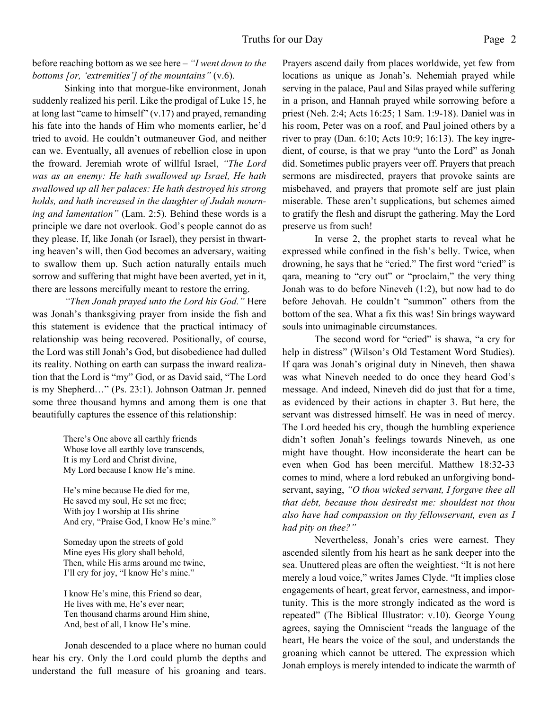#### before reaching bottom as we see here – *"I went down to the bottoms [or, 'extremities'] of the mountains"* (v.6).

 Sinking into that morgue-like environment, Jonah suddenly realized his peril. Like the prodigal of Luke 15, he at long last "came to himself" (v.17) and prayed, remanding his fate into the hands of Him who moments earlier, he'd tried to avoid. He couldn't outmaneuver God, and neither can we. Eventually, all avenues of rebellion close in upon the froward. Jeremiah wrote of willful Israel, *"The Lord was as an enemy: He hath swallowed up Israel, He hath swallowed up all her palaces: He hath destroyed his strong holds, and hath increased in the daughter of Judah mourning and lamentation"* (Lam. 2:5). Behind these words is a principle we dare not overlook. God's people cannot do as they please. If, like Jonah (or Israel), they persist in thwarting heaven's will, then God becomes an adversary, waiting to swallow them up. Such action naturally entails much sorrow and suffering that might have been averted, yet in it, there are lessons mercifully meant to restore the erring.

*"Then Jonah prayed unto the Lord his God."* Here was Jonah's thanksgiving prayer from inside the fish and this statement is evidence that the practical intimacy of relationship was being recovered. Positionally, of course, the Lord was still Jonah's God, but disobedience had dulled its reality. Nothing on earth can surpass the inward realization that the Lord is "my" God, or as David said, "The Lord is my Shepherd…" (Ps. 23:1). Johnson Oatman Jr. penned some three thousand hymns and among them is one that beautifully captures the essence of this relationship:

> There's One above all earthly friends Whose love all earthly love transcends, It is my Lord and Christ divine, My Lord because I know He's mine.

He's mine because He died for me, He saved my soul, He set me free; With joy I worship at His shrine And cry, "Praise God, I know He's mine."

Someday upon the streets of gold Mine eyes His glory shall behold, Then, while His arms around me twine, I'll cry for joy, "I know He's mine."

I know He's mine, this Friend so dear, He lives with me, He's ever near; Ten thousand charms around Him shine, And, best of all, I know He's mine.

 Jonah descended to a place where no human could hear his cry. Only the Lord could plumb the depths and understand the full measure of his groaning and tears.

Prayers ascend daily from places worldwide, yet few from locations as unique as Jonah's. Nehemiah prayed while serving in the palace, Paul and Silas prayed while suffering in a prison, and Hannah prayed while sorrowing before a priest (Neh. 2:4; Acts 16:25; 1 Sam. 1:9-18). Daniel was in his room, Peter was on a roof, and Paul joined others by a river to pray (Dan. 6:10; Acts 10:9; 16:13). The key ingredient, of course, is that we pray "unto the Lord" as Jonah did. Sometimes public prayers veer off. Prayers that preach sermons are misdirected, prayers that provoke saints are misbehaved, and prayers that promote self are just plain miserable. These aren't supplications, but schemes aimed to gratify the flesh and disrupt the gathering. May the Lord preserve us from such!

 In verse 2, the prophet starts to reveal what he expressed while confined in the fish's belly. Twice, when drowning, he says that he "cried." The first word "cried" is qara, meaning to "cry out" or "proclaim," the very thing Jonah was to do before Nineveh (1:2), but now had to do before Jehovah. He couldn't "summon" others from the bottom of the sea. What a fix this was! Sin brings wayward souls into unimaginable circumstances.

 The second word for "cried" is shawa, "a cry for help in distress" (Wilson's Old Testament Word Studies). If qara was Jonah's original duty in Nineveh, then shawa was what Nineveh needed to do once they heard God's message. And indeed, Nineveh did do just that for a time, as evidenced by their actions in chapter 3. But here, the servant was distressed himself. He was in need of mercy. The Lord heeded his cry, though the humbling experience didn't soften Jonah's feelings towards Nineveh, as one might have thought. How inconsiderate the heart can be even when God has been merciful. Matthew 18:32-33 comes to mind, where a lord rebuked an unforgiving bondservant, saying, *"O thou wicked servant, I forgave thee all that debt, because thou desiredst me: shouldest not thou also have had compassion on thy fellowservant, even as I had pity on thee?"*

 Nevertheless, Jonah's cries were earnest. They ascended silently from his heart as he sank deeper into the sea. Unuttered pleas are often the weightiest. "It is not here merely a loud voice," writes James Clyde. "It implies close engagements of heart, great fervor, earnestness, and importunity. This is the more strongly indicated as the word is repeated" (The Biblical Illustrator: v.10). George Young agrees, saying the Omniscient "reads the language of the heart, He hears the voice of the soul, and understands the groaning which cannot be uttered. The expression which Jonah employs is merely intended to indicate the warmth of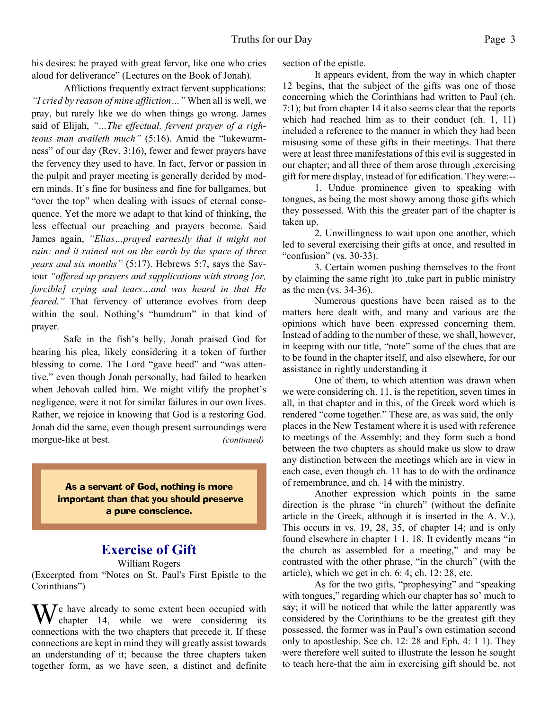his desires: he prayed with great fervor, like one who cries aloud for deliverance" (Lectures on the Book of Jonah).

 Afflictions frequently extract fervent supplications: *"I cried by reason of mine affliction…"* When all is well, we pray, but rarely like we do when things go wrong. James said of Elijah, *"…The effectual, fervent prayer of a righteous man availeth much"* (5:16). Amid the "lukewarmness" of our day (Rev. 3:16), fewer and fewer prayers have the fervency they used to have. In fact, fervor or passion in the pulpit and prayer meeting is generally derided by modern minds. It's fine for business and fine for ballgames, but "over the top" when dealing with issues of eternal consequence. Yet the more we adapt to that kind of thinking, the less effectual our preaching and prayers become. Said James again, *"Elias…prayed earnestly that it might not rain: and it rained not on the earth by the space of three years and six months"* (5:17). Hebrews 5:7, says the Saviour *"offered up prayers and supplications with strong [or, forcible] crying and tears…and was heard in that He feared.*" That fervency of utterance evolves from deep within the soul. Nothing's "humdrum" in that kind of prayer.

 Safe in the fish's belly, Jonah praised God for hearing his plea, likely considering it a token of further blessing to come. The Lord "gave heed" and "was attentive," even though Jonah personally, had failed to hearken when Jehovah called him. We might vilify the prophet's negligence, were it not for similar failures in our own lives. Rather, we rejoice in knowing that God is a restoring God. Jonah did the same, even though present surroundings were morgue-like at best. *(continued)*

> As a servant of God, nothing is more important than that you should preserve a pure conscience.

# **Exercise of Gift**

William Rogers

(Excerpted from "Notes on St. Paul's First Epistle to the Corinthians")

 $\mathbf{W}$  have already to some extent been occupied with chapter 14, while we were considering its connections with the two chapters that precede it. If these connections are kept in mind they will greatly assist towards an understanding of it; because the three chapters taken together form, as we have seen, a distinct and definite

section of the epistle.

It appears evident, from the way in which chapter 12 begins, that the subject of the gifts was one of those concerning which the Corinthians had written to Paul (ch. 7:1); but from chapter 14 it also seems clear that the reports which had reached him as to their conduct (ch. 1, 11) included a reference to the manner in which they had been misusing some of these gifts in their meetings. That there were at least three manifestations of this evil is suggested in our chapter; and all three of them arose through ,exercising gift for mere display, instead of for edification. They were:--

1. Undue prominence given to speaking with tongues, as being the most showy among those gifts which they possessed. With this the greater part of the chapter is taken up.

2. Unwillingness to wait upon one another, which led to several exercising their gifts at once, and resulted in "confusion" (vs. 30-33).

3. Certain women pushing themselves to the front by claiming the same right )to ,take part in public ministry as the men (vs. 34-36).

Numerous questions have been raised as to the matters here dealt with, and many and various are the opinions which have been expressed concerning them. Instead of adding to the number of these, we shall, however, in keeping with our title, "note" some of the clues that are to be found in the chapter itself, and also elsewhere, for our assistance in rightly understanding it

One of them, to which attention was drawn when we were considering ch. 11, is the repetition, seven times in all, in that chapter and in this, of the Greek word which is rendered "come together." These are, as was said, the only places in the New Testament where it is used with reference to meetings of the Assembly; and they form such a bond between the two chapters as should make us slow to draw any distinction between the meetings which are in view in each case, even though ch. 11 has to do with the ordinance of remembrance, and ch. 14 with the ministry.

Another expression which points in the same direction is the phrase "in church" (without the definite article in the Greek, although it is inserted in the A. V.). This occurs in vs. 19, 28, 35, of chapter 14; and is only found elsewhere in chapter 1 1. 18. It evidently means "in the church as assembled for a meeting," and may be contrasted with the other phrase, "in the church" (with the article), which we get in ch. 6: 4; ch. 12: 28, etc.

As for the two gifts, "prophesying" and "speaking with tongues," regarding which our chapter has so' much to say; it will be noticed that while the latter apparently was considered by the Corinthians to be the greatest gift they possessed, the former was in Paul's own estimation second only to apostleship. See ch. 12: 28 and Eph. 4: 1 1). They were therefore well suited to illustrate the lesson he sought to teach here-that the aim in exercising gift should be, not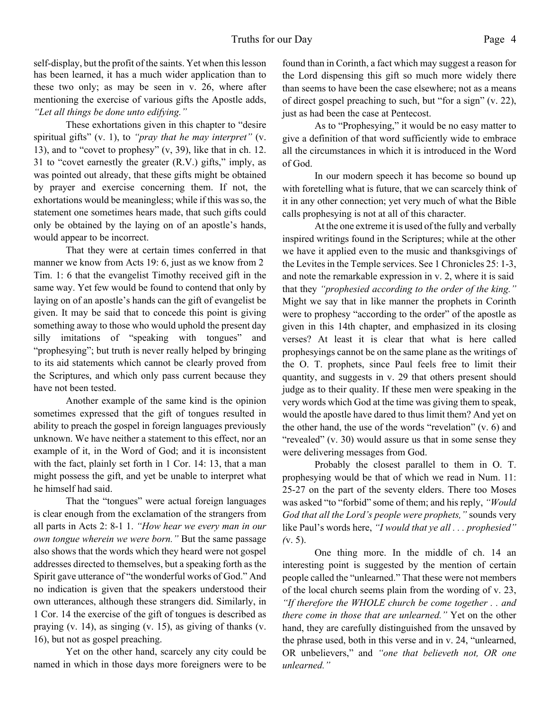self-display, but the profit of the saints. Yet when this lesson has been learned, it has a much wider application than to these two only; as may be seen in v. 26, where after mentioning the exercise of various gifts the Apostle adds, *"Let all things be done unto edifying."*

These exhortations given in this chapter to "desire spiritual gifts" (v. 1), to *"pray that he may interpret"* (v. 13), and to "covet to prophesy" (v, 39), like that in ch. 12. 31 to "covet earnestly the greater (R.V.) gifts," imply, as was pointed out already, that these gifts might be obtained by prayer and exercise concerning them. If not, the exhortations would be meaningless; while if this was so, the statement one sometimes hears made, that such gifts could only be obtained by the laying on of an apostle's hands, would appear to be incorrect.

That they were at certain times conferred in that manner we know from Acts 19: 6, just as we know from 2 Tim. 1: 6 that the evangelist Timothy received gift in the same way. Yet few would be found to contend that only by laying on of an apostle's hands can the gift of evangelist be given. It may be said that to concede this point is giving something away to those who would uphold the present day silly imitations of "speaking with tongues" and "prophesying"; but truth is never really helped by bringing to its aid statements which cannot be clearly proved from the Scriptures, and which only pass current because they have not been tested.

Another example of the same kind is the opinion sometimes expressed that the gift of tongues resulted in ability to preach the gospel in foreign languages previously unknown. We have neither a statement to this effect, nor an example of it, in the Word of God; and it is inconsistent with the fact, plainly set forth in 1 Cor. 14: 13, that a man might possess the gift, and yet be unable to interpret what he himself had said.

That the "tongues" were actual foreign languages is clear enough from the exclamation of the strangers from all parts in Acts 2: 8-1 1. *"How hear we every man in our own tongue wherein we were born."* But the same passage also shows that the words which they heard were not gospel addresses directed to themselves, but a speaking forth as the Spirit gave utterance of "the wonderful works of God." And no indication is given that the speakers understood their own utterances, although these strangers did. Similarly, in 1 Cor. 14 the exercise of the gift of tongues is described as praying (v. 14), as singing (v. 15), as giving of thanks (v. 16), but not as gospel preaching.

Yet on the other hand, scarcely any city could be named in which in those days more foreigners were to be found than in Corinth, a fact which may suggest a reason for the Lord dispensing this gift so much more widely there than seems to have been the case elsewhere; not as a means of direct gospel preaching to such, but "for a sign" (v. 22), just as had been the case at Pentecost.

As to "Prophesying," it would be no easy matter to give a definition of that word sufficiently wide to embrace all the circumstances in which it is introduced in the Word of God.

In our modern speech it has become so bound up with foretelling what is future, that we can scarcely think of it in any other connection; yet very much of what the Bible calls prophesying is not at all of this character.

At the one extreme it is used of the fully and verbally inspired writings found in the Scriptures; while at the other we have it applied even to the music and thanksgivings of the Levites in the Temple services. See 1 Chronicles 25: 1-3, and note the remarkable expression in v. 2, where it is said that they *"prophesied according to the order of the king."* Might we say that in like manner the prophets in Corinth were to prophesy "according to the order" of the apostle as given in this 14th chapter, and emphasized in its closing verses? At least it is clear that what is here called prophesyings cannot be on the same plane as the writings of the O. T. prophets, since Paul feels free to limit their quantity, and suggests in v. 29 that others present should judge as to their quality. If these men were speaking in the very words which God at the time was giving them to speak, would the apostle have dared to thus limit them? And yet on the other hand, the use of the words "revelation" (v. 6) and "revealed" (v. 30) would assure us that in some sense they were delivering messages from God.

Probably the closest parallel to them in O. T. prophesying would be that of which we read in Num. 11: 25-27 on the part of the seventy elders. There too Moses was asked "to "forbid" some of them; and his reply, *"Would God that all the Lord's people were prophets,"* sounds very like Paul's words here, *"I would that ye all . . . prophesied" (*v. 5).

One thing more. In the middle of ch. 14 an interesting point is suggested by the mention of certain people called the "unlearned." That these were not members of the local church seems plain from the wording of v. 23, *"If therefore the WHOLE church be come together . . and there come in those that are unlearned."* Yet on the other hand, they are carefully distinguished from the unsaved by the phrase used, both in this verse and in v. 24, "unlearned, OR unbelievers," and *"one that believeth not, OR one unlearned."*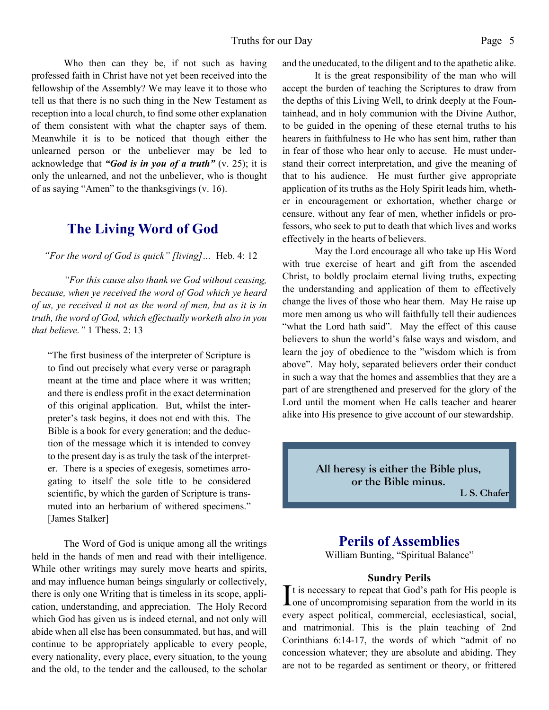Who then can they be, if not such as having professed faith in Christ have not yet been received into the

fellowship of the Assembly? We may leave it to those who tell us that there is no such thing in the New Testament as reception into a local church, to find some other explanation of them consistent with what the chapter says of them. Meanwhile it is to be noticed that though either the unlearned person or the unbeliever may be led to acknowledge that *"God is in you of a truth"* (v. 25); it is only the unlearned, and not the unbeliever, who is thought of as saying "Amen" to the thanksgivings (v. 16).

## **The Living Word of God**

 *"For the word of God is quick" [living]…* Heb. 4: 12

*"For this cause also thank we God without ceasing, because, when ye received the word of God which ye heard of us, ye received it not as the word of men, but as it is in truth, the word of God, which effectually worketh also in you that believe."* 1 Thess. 2: 13

"The first business of the interpreter of Scripture is to find out precisely what every verse or paragraph meant at the time and place where it was written; and there is endless profit in the exact determination of this original application. But, whilst the interpreter's task begins, it does not end with this. The Bible is a book for every generation; and the deduction of the message which it is intended to convey to the present day is as truly the task of the interpreter. There is a species of exegesis, sometimes arrogating to itself the sole title to be considered scientific, by which the garden of Scripture is transmuted into an herbarium of withered specimens." [James Stalker]

The Word of God is unique among all the writings held in the hands of men and read with their intelligence. While other writings may surely move hearts and spirits, and may influence human beings singularly or collectively, there is only one Writing that is timeless in its scope, application, understanding, and appreciation. The Holy Record which God has given us is indeed eternal, and not only will abide when all else has been consummated, but has, and will continue to be appropriately applicable to every people, every nationality, every place, every situation, to the young and the old, to the tender and the calloused, to the scholar and the uneducated, to the diligent and to the apathetic alike.

It is the great responsibility of the man who will accept the burden of teaching the Scriptures to draw from the depths of this Living Well, to drink deeply at the Fountainhead, and in holy communion with the Divine Author, to be guided in the opening of these eternal truths to his hearers in faithfulness to He who has sent him, rather than in fear of those who hear only to accuse. He must understand their correct interpretation, and give the meaning of that to his audience. He must further give appropriate application of its truths as the Holy Spirit leads him, whether in encouragement or exhortation, whether charge or censure, without any fear of men, whether infidels or professors, who seek to put to death that which lives and works effectively in the hearts of believers.

May the Lord encourage all who take up His Word with true exercise of heart and gift from the ascended Christ, to boldly proclaim eternal living truths, expecting the understanding and application of them to effectively change the lives of those who hear them. May He raise up more men among us who will faithfully tell their audiences "what the Lord hath said". May the effect of this cause believers to shun the world's false ways and wisdom, and learn the joy of obedience to the "wisdom which is from above". May holy, separated believers order their conduct in such a way that the homes and assemblies that they are a part of are strengthened and preserved for the glory of the Lord until the moment when He calls teacher and hearer alike into His presence to give account of our stewardship.

> **All heresy is either the Bible plus, or the Bible minus.**

**L S. Chafer**

# **Perils of Assemblies**

William Bunting, "Spiritual Balance"

#### **Sundry Perils**

It is necessary to repeat that God's path for His people is<br>one of uncompromising separation from the world in its  $\mathsf{T}$ t is necessary to repeat that God's path for His people is every aspect political, commercial, ecclesiastical, social, and matrimonial. This is the plain teaching of 2nd Corinthians 6:14-17, the words of which "admit of no concession whatever; they are absolute and abiding. They are not to be regarded as sentiment or theory, or frittered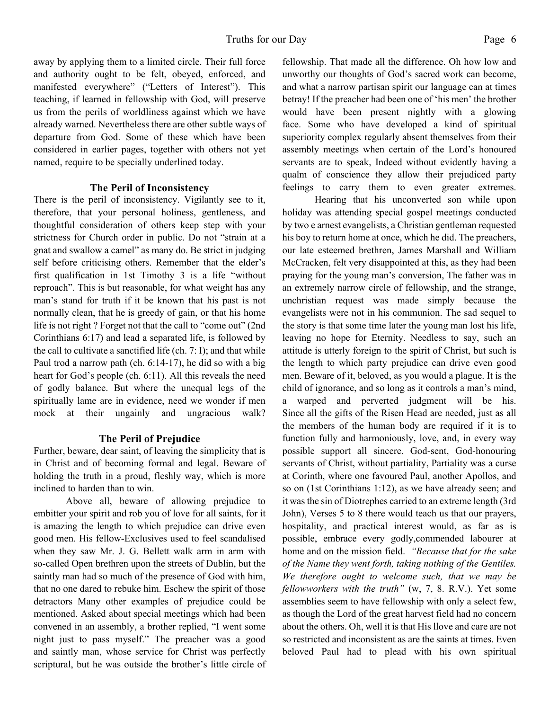away by applying them to a limited circle. Their full force and authority ought to be felt, obeyed, enforced, and manifested everywhere" ("Letters of Interest"). This teaching, if learned in fellowship with God, will preserve us from the perils of worldliness against which we have already warned. Nevertheless there are other subtle ways of departure from God. Some of these which have been considered in earlier pages, together with others not yet named, require to be specially underlined today.

#### **The Peril of Inconsistency**

There is the peril of inconsistency. Vigilantly see to it, therefore, that your personal holiness, gentleness, and thoughtful consideration of others keep step with your strictness for Church order in public. Do not "strain at a gnat and swallow a camel" as many do. Be strict in judging self before criticising others. Remember that the elder's first qualification in 1st Timothy 3 is a life "without reproach". This is but reasonable, for what weight has any man's stand for truth if it be known that his past is not normally clean, that he is greedy of gain, or that his home life is not right ? Forget not that the call to "come out" (2nd Corinthians 6:17) and lead a separated life, is followed by the call to cultivate a sanctified life (ch. 7: I); and that while Paul trod a narrow path (ch. 6:14-17), he did so with a big heart for God's people (ch. 6:11). All this reveals the need of godly balance. But where the unequal legs of the spiritually lame are in evidence, need we wonder if men mock at their ungainly and ungracious walk?

#### **The Peril of Prejudice**

Further, beware, dear saint, of leaving the simplicity that is in Christ and of becoming formal and legal. Beware of holding the truth in a proud, fleshly way, which is more inclined to harden than to win.

Above all, beware of allowing prejudice to embitter your spirit and rob you of love for all saints, for it is amazing the length to which prejudice can drive even good men. His fellow-Exclusives used to feel scandalised when they saw Mr. J. G. Bellett walk arm in arm with so-called Open brethren upon the streets of Dublin, but the saintly man had so much of the presence of God with him, that no one dared to rebuke him. Eschew the spirit of those detractors Many other examples of prejudice could be mentioned. Asked about special meetings which had been convened in an assembly, a brother replied, "I went some night just to pass myself." The preacher was a good and saintly man, whose service for Christ was perfectly scriptural, but he was outside the brother's little circle of fellowship. That made all the difference. Oh how low and unworthy our thoughts of God's sacred work can become, and what a narrow partisan spirit our language can at times betray! If the preacher had been one of 'his men' the brother would have been present nightly with a glowing face. Some who have developed a kind of spiritual superiority complex regularly absent themselves from their assembly meetings when certain of the Lord's honoured servants are to speak, Indeed without evidently having a qualm of conscience they allow their prejudiced party feelings to carry them to even greater extremes.

Hearing that his unconverted son while upon holiday was attending special gospel meetings conducted by two e arnest evangelists, a Christian gentleman requested his boy to return home at once, which he did. The preachers, our late esteemed brethren, James Marshall and William McCracken, felt very disappointed at this, as they had been praying for the young man's conversion, The father was in an extremely narrow circle of fellowship, and the strange, unchristian request was made simply because the evangelists were not in his communion. The sad sequel to the story is that some time later the young man lost his life, leaving no hope for Eternity. Needless to say, such an attitude is utterly foreign to the spirit of Christ, but such is the length to which party prejudice can drive even good men. Beware of it, beloved, as you would a plague. It is the child of ignorance, and so long as it controls a man's mind, a warped and perverted judgment will be his. Since all the gifts of the Risen Head are needed, just as all the members of the human body are required if it is to function fully and harmoniously, love, and, in every way possible support all sincere. God-sent, God-honouring servants of Christ, without partiality, Partiality was a curse at Corinth, where one favoured Paul, another Apollos, and so on (1st Corinthians 1:12), as we have already seen; and it was the sin of Diotrephes carried to an extreme length (3rd John), Verses 5 to 8 there would teach us that our prayers, hospitality, and practical interest would, as far as is possible, embrace every godly,commended labourer at home and on the mission field. *"Because that for the sake of the Name they went forth, taking nothing of the Gentiles. We therefore ought to welcome such, that we may be fellowworkers with the truth"* (w, 7, 8. R.V.). Yet some assemblies seem to have fellowship with only a select few, as though the Lord of the great harvest field had no concern about the others. Oh, well it is that His llove and care are not so restricted and inconsistent as are the saints at times. Even beloved Paul had to plead with his own spiritual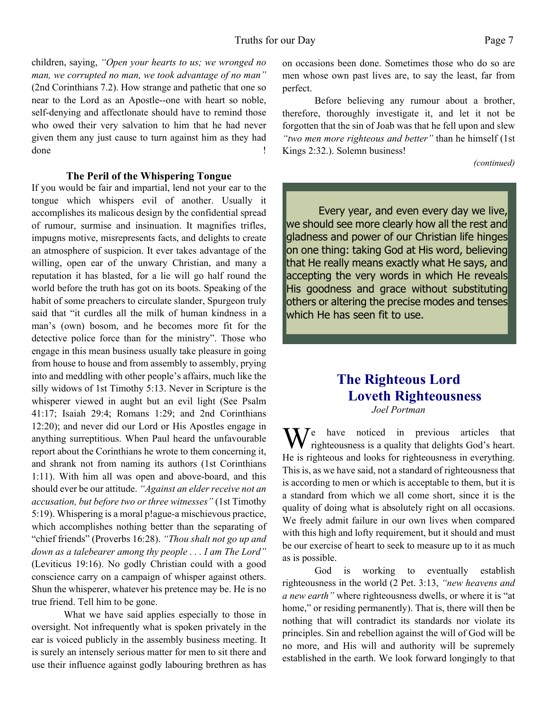children, saying, *"Open your hearts to us; we wronged no man, we corrupted no man, we took advantage of no man"* (2nd Corinthians 7.2). How strange and pathetic that one so near to the Lord as an Apostle--one with heart so noble, self-denying and affectlonate should have to remind those who owed their very salvation to him that he had never given them any just cause to turn against him as they had done  $\blacksquare$ 

#### **The Peril of the Whispering Tongue**

If you would be fair and impartial, lend not your ear to the tongue which whispers evil of another. Usually it accomplishes its malicous design by the confidential spread of rumour, surmise and insinuation. It magnifies trifles, impugns motive, misrepresents facts, and delights to create an atmosphere of suspicion. It ever takes advantage of the willing, open ear of the unwary Christian, and many a reputation it has blasted, for a lie will go half round the world before the truth has got on its boots. Speaking of the habit of some preachers to circulate slander, Spurgeon truly said that "it curdles all the milk of human kindness in a man's (own) bosom, and he becomes more fit for the detective police force than for the ministry". Those who engage in this mean business usually take pleasure in going from house to house and from assembly to assembly, prying into and meddling with other people's affairs, much like the silly widows of 1st Timothy 5:13. Never in Scripture is the whisperer viewed in aught but an evil light (See Psalm 41:17; Isaiah 29:4; Romans 1:29; and 2nd Corinthians 12:20); and never did our Lord or His Apostles engage in anything surreptitious. When Paul heard the unfavourable report about the Corinthians he wrote to them concerning it, and shrank not from naming its authors (1st Corinthians 1:11). With him all was open and above-board, and this should ever be our attitude. *"Against an elder receive not an accusation, but before two or three witnesses"* (1st Timothy 5:19). Whispering is a moral p!ague-a mischievous practice, which accomplishes nothing better than the separating of "chief friends" (Proverbs 16:28). *"Thou shalt not go up and down as a talebearer among thy people . . . I am The Lord"* (Leviticus 19:16). No godly Christian could with a good conscience carry on a campaign of whisper against others. Shun the whisperer, whatever his pretence may be. He is no true friend. Tell him to be gone.

What we have said applies especially to those in oversight. Not infrequently what is spoken privately in the ear is voiced publicly in the assembly business meeting. It is surely an intensely serious matter for men to sit there and use their influence against godly labouring brethren as has on occasions been done. Sometimes those who do so are men whose own past lives are, to say the least, far from perfect.

Before believing any rumour about a brother, therefore, thoroughly investigate it, and let it not be forgotten that the sin of Joab was that he fell upon and slew *"two men more righteous and better"* than he himself (1st Kings 2:32.). Solemn business!

#### *(continued)*

Every year, and even every day we live, we should see more clearly how all the rest and gladness and power of our Christian life hinges on one thing: taking God at His word, believing that He really means exactly what He says, and accepting the very words in which He reveals His goodness and grace without substituting others or altering the precise modes and tenses which He has seen fit to use.

# **The Righteous Lord Loveth Righteousness**

*Joel Portman*

 $M^e$  have noticed in previous articles that righteousness is a quality that delights God's heart. He is righteous and looks for righteousness in everything. This is, as we have said, not a standard of righteousness that is according to men or which is acceptable to them, but it is a standard from which we all come short, since it is the quality of doing what is absolutely right on all occasions. We freely admit failure in our own lives when compared with this high and lofty requirement, but it should and must be our exercise of heart to seek to measure up to it as much as is possible.

 God is working to eventually establish righteousness in the world (2 Pet. 3:13, *"new heavens and a new earth"* where righteousness dwells, or where it is "at home," or residing permanently). That is, there will then be nothing that will contradict its standards nor violate its principles. Sin and rebellion against the will of God will be no more, and His will and authority will be supremely established in the earth. We look forward longingly to that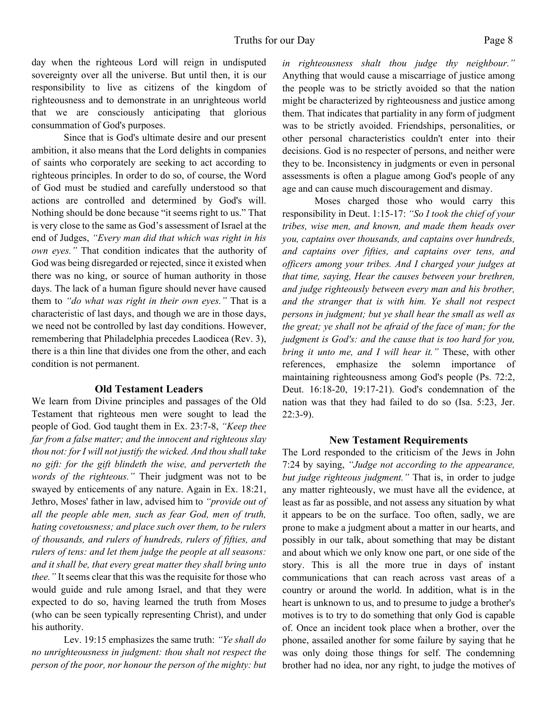day when the righteous Lord will reign in undisputed sovereignty over all the universe. But until then, it is our responsibility to live as citizens of the kingdom of righteousness and to demonstrate in an unrighteous world that we are consciously anticipating that glorious consummation of God's purposes.

 Since that is God's ultimate desire and our present ambition, it also means that the Lord delights in companies of saints who corporately are seeking to act according to righteous principles. In order to do so, of course, the Word of God must be studied and carefully understood so that actions are controlled and determined by God's will. Nothing should be done because "it seems right to us." That is very close to the same as God's assessment of Israel at the end of Judges, *"Every man did that which was right in his own eyes."* That condition indicates that the authority of God was being disregarded or rejected, since it existed when there was no king, or source of human authority in those days. The lack of a human figure should never have caused them to *"do what was right in their own eyes."* That is a characteristic of last days, and though we are in those days, we need not be controlled by last day conditions. However, remembering that Philadelphia precedes Laodicea (Rev. 3), there is a thin line that divides one from the other, and each condition is not permanent.

#### **Old Testament Leaders**

We learn from Divine principles and passages of the Old Testament that righteous men were sought to lead the people of God. God taught them in Ex. 23:7-8, *"Keep thee far from a false matter; and the innocent and righteous slay thou not: for I will not justify the wicked. And thou shall take no gift: for the gift blindeth the wise, and perverteth the words of the righteous."* Their judgment was not to be swayed by enticements of any nature. Again in Ex. 18:21, Jethro, Moses' father in law, advised him to *"provide out of all the people able men, such as fear God, men of truth, hating covetousness; and place such over them, to be rulers of thousands, and rulers of hundreds, rulers of fifties, and rulers of tens: and let them judge the people at all seasons: and it shall be, that every great matter they shall bring unto thee."* It seems clear that this was the requisite for those who would guide and rule among Israel, and that they were expected to do so, having learned the truth from Moses (who can be seen typically representing Christ), and under his authority.

 Lev. 19:15 emphasizes the same truth: *"Ye shall do no unrighteousness in judgment: thou shalt not respect the person of the poor, nor honour the person of the mighty: but* *in righteousness shalt thou judge thy neighbour."* Anything that would cause a miscarriage of justice among the people was to be strictly avoided so that the nation might be characterized by righteousness and justice among them. That indicates that partiality in any form of judgment was to be strictly avoided. Friendships, personalities, or other personal characteristics couldn't enter into their decisions. God is no respecter of persons, and neither were they to be. Inconsistency in judgments or even in personal assessments is often a plague among God's people of any age and can cause much discouragement and dismay.

 Moses charged those who would carry this responsibility in Deut. 1:15-17: *"So I took the chief of your tribes, wise men, and known, and made them heads over you, captains over thousands, and captains over hundreds, and captains over fifties, and captains over tens, and officers among your tribes. And I charged your judges at that time, saying, Hear the causes between your brethren, and judge righteously between every man and his brother, and the stranger that is with him. Ye shall not respect persons in judgment; but ye shall hear the small as well as the great; ye shall not be afraid of the face of man; for the judgment is God's: and the cause that is too hard for you, bring it unto me, and I will hear it."* These, with other references, emphasize the solemn importance of maintaining righteousness among God's people (Ps. 72:2, Deut. 16:18-20, 19:17-21). God's condemnation of the nation was that they had failed to do so (Isa. 5:23, Jer. 22:3-9).

#### **New Testament Requirements**

The Lord responded to the criticism of the Jews in John 7:24 by saying, *"Judge not according to the appearance, but judge righteous judgment."* That is, in order to judge any matter righteously, we must have all the evidence, at least as far as possible, and not assess any situation by what it appears to be on the surface. Too often, sadly, we are prone to make a judgment about a matter in our hearts, and possibly in our talk, about something that may be distant and about which we only know one part, or one side of the story. This is all the more true in days of instant communications that can reach across vast areas of a country or around the world. In addition, what is in the heart is unknown to us, and to presume to judge a brother's motives is to try to do something that only God is capable of. Once an incident took place when a brother, over the phone, assailed another for some failure by saying that he was only doing those things for self. The condemning brother had no idea, nor any right, to judge the motives of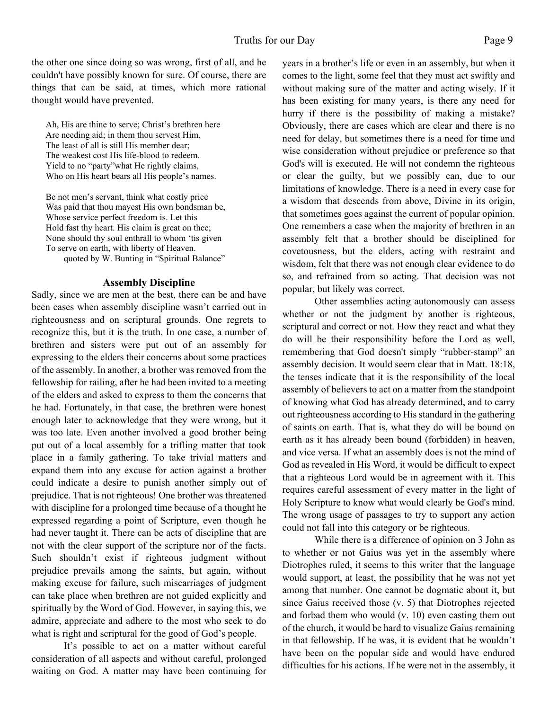the other one since doing so was wrong, first of all, and he couldn't have possibly known for sure. Of course, there are things that can be said, at times, which more rational thought would have prevented.

Ah, His are thine to serve; Christ's brethren here Are needing aid; in them thou servest Him. The least of all is still His member dear; The weakest cost His life-blood to redeem. Yield to no "party"what He rightly claims, Who on His heart bears all His people's names.

Be not men's servant, think what costly price Was paid that thou mayest His own bondsman be, Whose service perfect freedom is. Let this Hold fast thy heart. His claim is great on thee; None should thy soul enthrall to whom 'tis given To serve on earth, with liberty of Heaven. quoted by W. Bunting in "Spiritual Balance"

#### **Assembly Discipline**

Sadly, since we are men at the best, there can be and have been cases when assembly discipline wasn't carried out in righteousness and on scriptural grounds. One regrets to recognize this, but it is the truth. In one case, a number of brethren and sisters were put out of an assembly for expressing to the elders their concerns about some practices of the assembly. In another, a brother was removed from the fellowship for railing, after he had been invited to a meeting of the elders and asked to express to them the concerns that he had. Fortunately, in that case, the brethren were honest enough later to acknowledge that they were wrong, but it was too late. Even another involved a good brother being put out of a local assembly for a trifling matter that took place in a family gathering. To take trivial matters and expand them into any excuse for action against a brother could indicate a desire to punish another simply out of prejudice. That is not righteous! One brother was threatened with discipline for a prolonged time because of a thought he expressed regarding a point of Scripture, even though he had never taught it. There can be acts of discipline that are not with the clear support of the scripture nor of the facts. Such shouldn't exist if righteous judgment without prejudice prevails among the saints, but again, without making excuse for failure, such miscarriages of judgment can take place when brethren are not guided explicitly and spiritually by the Word of God. However, in saying this, we admire, appreciate and adhere to the most who seek to do what is right and scriptural for the good of God's people.

It's possible to act on a matter without careful consideration of all aspects and without careful, prolonged waiting on God. A matter may have been continuing for years in a brother's life or even in an assembly, but when it comes to the light, some feel that they must act swiftly and without making sure of the matter and acting wisely. If it has been existing for many years, is there any need for hurry if there is the possibility of making a mistake? Obviously, there are cases which are clear and there is no need for delay, but sometimes there is a need for time and wise consideration without prejudice or preference so that God's will is executed. He will not condemn the righteous or clear the guilty, but we possibly can, due to our limitations of knowledge. There is a need in every case for a wisdom that descends from above, Divine in its origin, that sometimes goes against the current of popular opinion. One remembers a case when the majority of brethren in an assembly felt that a brother should be disciplined for covetousness, but the elders, acting with restraint and wisdom, felt that there was not enough clear evidence to do so, and refrained from so acting. That decision was not popular, but likely was correct.

Other assemblies acting autonomously can assess whether or not the judgment by another is righteous, scriptural and correct or not. How they react and what they do will be their responsibility before the Lord as well, remembering that God doesn't simply "rubber-stamp" an assembly decision. It would seem clear that in Matt. 18:18, the tenses indicate that it is the responsibility of the local assembly of believers to act on a matter from the standpoint of knowing what God has already determined, and to carry out righteousness according to His standard in the gathering of saints on earth. That is, what they do will be bound on earth as it has already been bound (forbidden) in heaven, and vice versa. If what an assembly does is not the mind of God as revealed in His Word, it would be difficult to expect that a righteous Lord would be in agreement with it. This requires careful assessment of every matter in the light of Holy Scripture to know what would clearly be God's mind. The wrong usage of passages to try to support any action could not fall into this category or be righteous.

While there is a difference of opinion on 3 John as to whether or not Gaius was yet in the assembly where Diotrophes ruled, it seems to this writer that the language would support, at least, the possibility that he was not yet among that number. One cannot be dogmatic about it, but since Gaius received those (v. 5) that Diotrophes rejected and forbad them who would (v. 10) even casting them out of the church, it would be hard to visualize Gaius remaining in that fellowship. If he was, it is evident that he wouldn't have been on the popular side and would have endured difficulties for his actions. If he were not in the assembly, it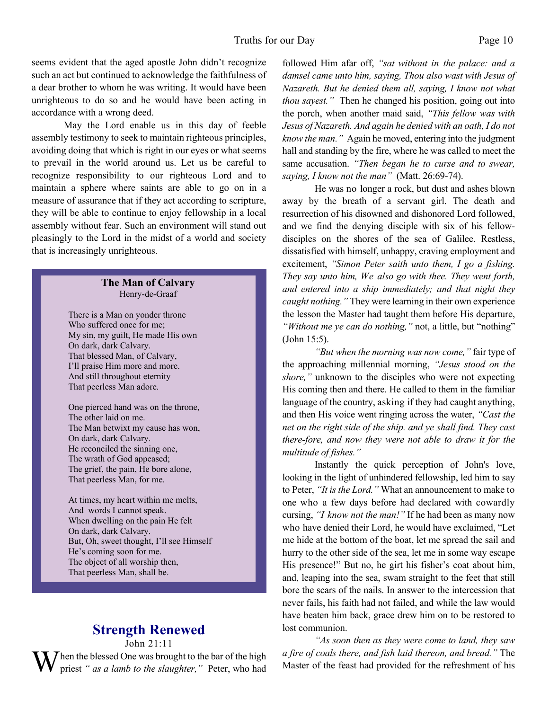seems evident that the aged apostle John didn't recognize such an act but continued to acknowledge the faithfulness of a dear brother to whom he was writing. It would have been unrighteous to do so and he would have been acting in accordance with a wrong deed.

May the Lord enable us in this day of feeble assembly testimony to seek to maintain righteous principles, avoiding doing that which is right in our eyes or what seems to prevail in the world around us. Let us be careful to recognize responsibility to our righteous Lord and to maintain a sphere where saints are able to go on in a measure of assurance that if they act according to scripture, they will be able to continue to enjoy fellowship in a local assembly without fear. Such an environment will stand out pleasingly to the Lord in the midst of a world and society that is increasingly unrighteous.

#### **The Man of Calvary** Henry-de-Graaf

There is a Man on yonder throne Who suffered once for me; My sin, my guilt, He made His own On dark, dark Calvary. That blessed Man, of Calvary, I'll praise Him more and more. And still throughout eternity That peerless Man adore.

One pierced hand was on the throne, The other laid on me. The Man betwixt my cause has won, On dark, dark Calvary. He reconciled the sinning one, The wrath of God appeased; The grief, the pain, He bore alone, That peerless Man, for me.

At times, my heart within me melts, And words I cannot speak. When dwelling on the pain He felt On dark, dark Calvary. But, Oh, sweet thought, I'll see Himself He's coming soon for me. The object of all worship then, That peerless Man, shall be.

# **Strength Renewed**

John 21:11

When the blessed One was brought to the bar of the high priest *" as a lamb to the slaughter,*" Peter, who had

followed Him afar off, *"sat without in the palace: and a damsel came unto him, saying, Thou also wast with Jesus of Nazareth. But he denied them all, saying, I know not what thou sayest.*" Then he changed his position, going out into the porch, when another maid said, *"This fellow was with Jesus of Nazareth. And again he denied with an oath, I do not know the man."* Again he moved, entering into the judgment hall and standing by the fire, where he was called to meet the same accusation. *"Then began he to curse and to swear, saying, I know not the man"* (Matt. 26:69-74).

He was no longer a rock, but dust and ashes blown away by the breath of a servant girl. The death and resurrection of his disowned and dishonored Lord followed, and we find the denying disciple with six of his fellowdisciples on the shores of the sea of Galilee. Restless, dissatisfied with himself, unhappy, craving employment and excitement, *"Simon Peter saith unto them, I go a fishing. They say unto him, We also go with thee. They went forth, and entered into a ship immediately; and that night they caught nothing."* They were learning in their own experience the lesson the Master had taught them before His departure, *"Without me ye can do nothing,"* not, a little, but "nothing" (John 15:5).

*"But when the morning was now come,"* fair type of the approaching millennial morning, *"Jesus stood on the shore,"* unknown to the disciples who were not expecting His coming then and there. He called to them in the familiar language of the country, asking if they had caught anything, and then His voice went ringing across the water, *"Cast the net on the right side of the ship. and ye shall find. They cast there-fore, and now they were not able to draw it for the multitude of fishes."*

Instantly the quick perception of John's love, looking in the light of unhindered fellowship, led him to say to Peter, *"It is the Lord."* What an announcement to make to one who a few days before had declared with cowardly cursing, *"I know not the man!"* If he had been as many now who have denied their Lord, he would have exclaimed, "Let me hide at the bottom of the boat, let me spread the sail and hurry to the other side of the sea, let me in some way escape His presence!" But no, he girt his fisher's coat about him, and, leaping into the sea, swam straight to the feet that still bore the scars of the nails. In answer to the intercession that never fails, his faith had not failed, and while the law would have beaten him back, grace drew him on to be restored to lost communion.

*"As soon then as they were come to land, they saw a fire of coals there, and fish laid thereon, and bread."* The Master of the feast had provided for the refreshment of his